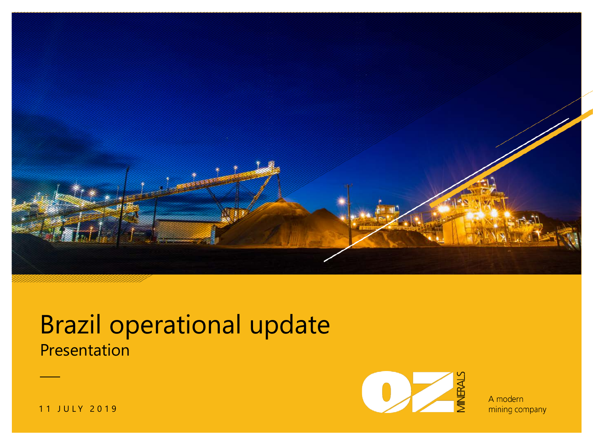

## **Presentation** Brazil operational update



A modern mining company

11 JULY 2019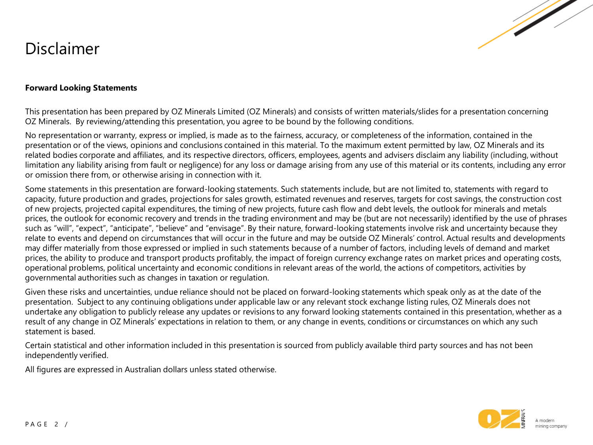#### Disclaimer



#### **Forward Looking Statements**

This presentation has been prepared by OZ Minerals Limited (OZ Minerals) and consists of written materials/slides for a presentation concerning OZ Minerals. By reviewing/attending this presentation, you agree to be bound by the following conditions.

No representation or warranty, express or implied, is made as to the fairness, accuracy, or completeness of the information, contained in the presentation or of the views, opinions and conclusions contained in this material. To the maximum extent permitted by law, OZ Minerals and its related bodies corporate and affiliates, and its respective directors, officers, employees, agents and advisers disclaim any liability (including, without limitation any liability arising from fault or negligence) for any loss or damage arising from any use of this material or its contents, including any error or omission there from, or otherwise arising in connection with it.

Some statements in this presentation are forward-looking statements. Such statements include, but are not limited to, statements with regard to capacity, future production and grades, projections for sales growth, estimated revenues and reserves, targets for cost savings, the construction cost of new projects, projected capital expenditures, the timing of new projects, future cash flow and debt levels, the outlook for minerals and metals prices, the outlook for economic recovery and trends in the trading environment and may be (but are not necessarily) identified by the use of phrases such as "will", "expect", "anticipate", "believe" and "envisage". By their nature, forward-looking statements involve risk and uncertainty because they relate to events and depend on circumstances that will occur in the future and may be outside OZ Minerals' control. Actual results and developments may differ materially from those expressed or implied in such statements because of a number of factors, including levels of demand and market prices, the ability to produce and transport products profitably, the impact of foreign currency exchange rates on market prices and operating costs, operational problems, political uncertainty and economic conditions in relevant areas of the world, the actions of competitors, activities by governmental authorities such as changes in taxation or regulation.

Given these risks and uncertainties, undue reliance should not be placed on forward-looking statements which speak only as at the date of the presentation. Subject to any continuing obligations under applicable law or any relevant stock exchange listing rules, OZ Minerals does not undertake any obligation to publicly release any updates or revisions to any forward looking statements contained in this presentation, whether as a result of any change in OZ Minerals' expectations in relation to them, or any change in events, conditions or circumstances on which any such statement is based.

Certain statistical and other information included in this presentation is sourced from publicly available third party sources and has not been independently verified.

All figures are expressed in Australian dollars unless stated otherwise.

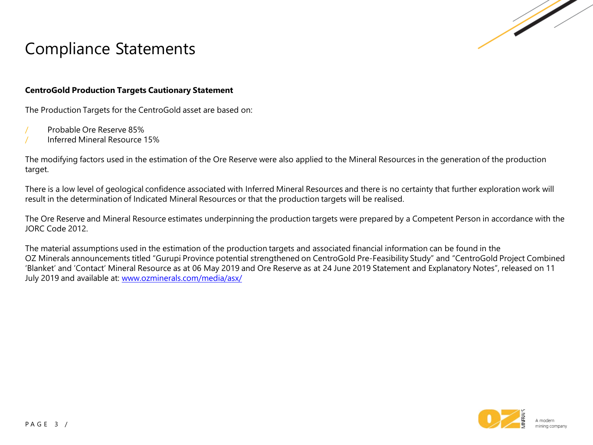

#### Compliance Statements

#### **CentroGold Production Targets Cautionary Statement**

The Production Targets for the CentroGold asset are based on:

- / Probable Ore Reserve 85%
- / Inferred Mineral Resource 15%

The modifying factors used in the estimation of the Ore Reserve were also applied to the Mineral Resources in the generation of the production target.

There is a low level of geological confidence associated with Inferred Mineral Resources and there is no certainty that further exploration work will result in the determination of Indicated Mineral Resources or that the production targets will be realised.

The Ore Reserve and Mineral Resource estimates underpinning the production targets were prepared by a Competent Person in accordance with the JORC Code 2012.

The material assumptions used in the estimation of the production targets and associated financial information can be found in the OZ Minerals announcements titled "Gurupi Province potential strengthened on CentroGold Pre-Feasibility Study" and "CentroGold Project Combined 'Blanket' and 'Contact' Mineral Resource as at 06 May 2019 and Ore Reserve as at 24 June 2019 Statement and Explanatory Notes", released on 11 July 2019 and available at: [www.ozminerals.com/media/asx/](http://www.ozminerals.com/media/asx/)

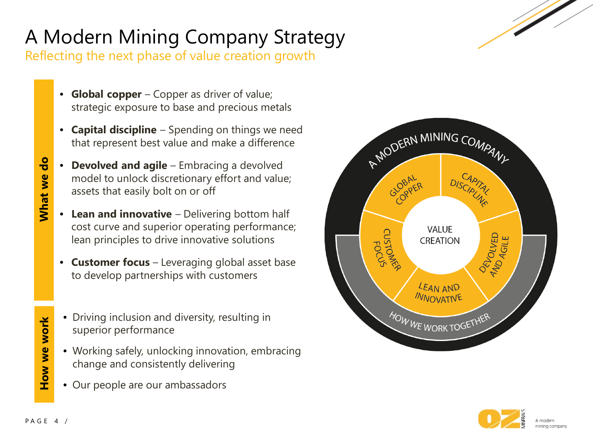# A Modern Mining Company Strategy

Reflecting the next phase of value creation growth

- **Global copper**  Copper as driver of value; strategic exposure to base and precious metals
- **Capital discipline**  Spending on things we need that represent best value and make a difference
- **Devolved and agile** Embracing a devolved model to unlock discretionary effort and value; assets that easily bolt on or off
- **Lean and innovative** Delivering bottom half cost curve and superior operating performance; lean principles to drive innovative solutions
- **Customer focus**  Leveraging global asset base to develop partnerships with customers
- Driving inclusion and diversity, resulting in superior performance
- Working safely, unlocking innovation, embracing change and consistently delivering
- Our people are our ambassadors





**How we work**

How we work

**What we do**

What we do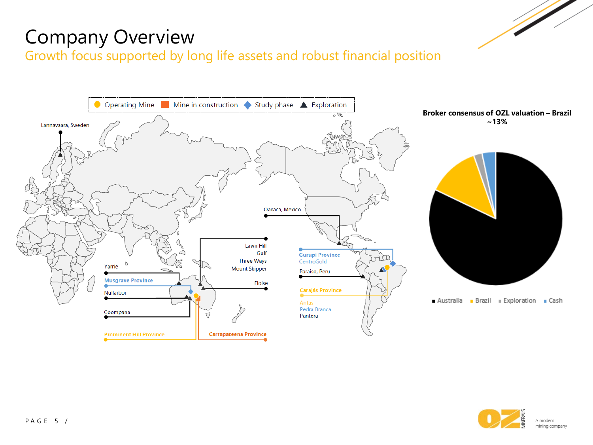### Company Overview

Growth focus supported by long life assets and robust financial position



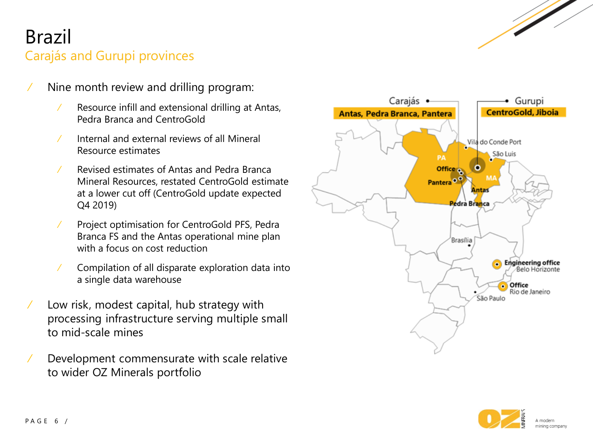### Brazil Carajás and Gurupi provinces

- ⁄ Nine month review and drilling program:
	- ⁄ Resource infill and extensional drilling at Antas, Pedra Branca and CentroGold
	- ⁄ Internal and external reviews of all Mineral Resource estimates
	- ⁄ Revised estimates of Antas and Pedra Branca Mineral Resources, restated CentroGold estimate at a lower cut off (CentroGold update expected Q4 2019)
	- ⁄ Project optimisation for CentroGold PFS, Pedra Branca FS and the Antas operational mine plan with a focus on cost reduction
	- ⁄ Compilation of all disparate exploration data into a single data warehouse
- ⁄ Low risk, modest capital, hub strategy with processing infrastructure serving multiple small to mid-scale mines
- ⁄ Development commensurate with scale relative to wider OZ Minerals portfolio



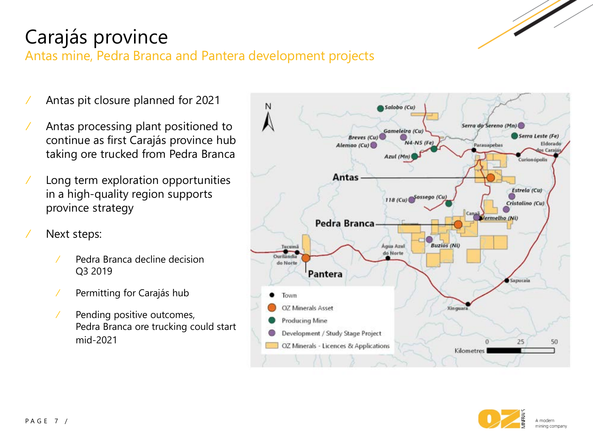

## Carajás province

Antas mine, Pedra Branca and Pantera development projects

- ⁄ Antas pit closure planned for 2021
- ⁄ Antas processing plant positioned to continue as first Carajás province hub taking ore trucked from Pedra Branca
- ⁄ Long term exploration opportunities in a high-quality region supports province strategy
- ⁄ Next steps:
	- ⁄ Pedra Branca decline decision Q3 2019
	- ⁄ Permitting for Carajás hub
	- ⁄ Pending positive outcomes, Pedra Branca ore trucking could start mid-2021



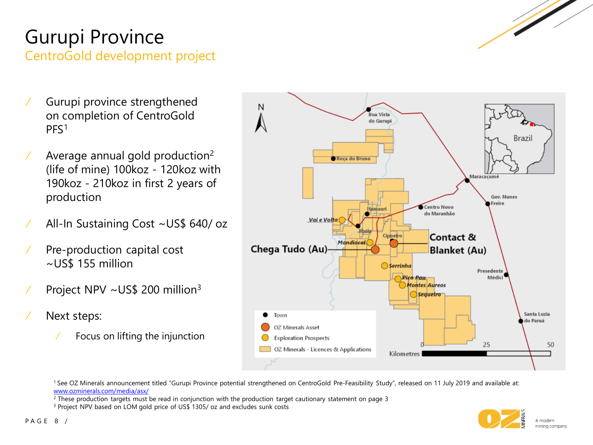# Gurupi Province

CentroGold development project

- ⁄ Gurupi province strengthened on completion of CentroGold PFS1
- $\angle$  Average annual gold production<sup>2</sup> (life of mine) 100koz - 120koz with 190koz - 210koz in first 2 years of production
- ⁄ All-In Sustaining Cost ~US\$ 640/ oz
- ⁄ Pre-production capital cost ~US\$ 155 million
- ⁄ Project NPV ~US\$ 200 million3
- ⁄ Next steps:
	- ⁄ Focus on lifting the injunction



1 See OZ Minerals announcement titled "Gurupi Province potential strengthened on CentroGold Pre-Feasibility Study", released on 11 July 2019 and available at: [www.ozminerals.com/media/asx/](http://www.ozminerals.com/media/asx/)

<sup>2</sup> These production targets must be read in conjunction with the production target cautionary statement on page 3

<sup>3</sup> Project NPV based on LOM gold price of US\$ 1305/ oz and excludes sunk costs